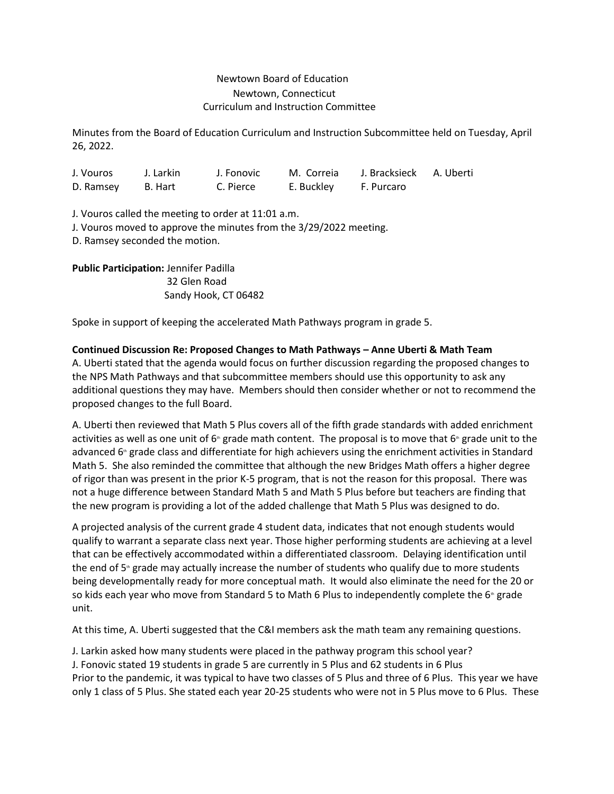## Newtown Board of Education Newtown, Connecticut Curriculum and Instruction Committee

Minutes from the Board of Education Curriculum and Instruction Subcommittee held on Tuesday, April 26, 2022.

| J. Vouros | J. Larkin | J. Fonovic | M. Correia | J. Bracksieck A. Uberti |  |
|-----------|-----------|------------|------------|-------------------------|--|
| D. Ramsey | B. Hart   | C. Pierce  | E. Buckley | F. Purcaro              |  |

J. Vouros called the meeting to order at 11:01 a.m.

J. Vouros moved to approve the minutes from the 3/29/2022 meeting.

D. Ramsey seconded the motion.

**Public Participation:** Jennifer Padilla 32 Glen Road Sandy Hook, CT 06482

Spoke in support of keeping the accelerated Math Pathways program in grade 5.

## **Continued Discussion Re: Proposed Changes to Math Pathways – Anne Uberti & Math Team**

A. Uberti stated that the agenda would focus on further discussion regarding the proposed changes to the NPS Math Pathways and that subcommittee members should use this opportunity to ask any additional questions they may have. Members should then consider whether or not to recommend the proposed changes to the full Board.

A. Uberti then reviewed that Math 5 Plus covers all of the fifth grade standards with added enrichment activities as well as one unit of  $6<sup>th</sup>$  grade math content. The proposal is to move that  $6<sup>th</sup>$  grade unit to the advanced 6<sup>th</sup> grade class and differentiate for high achievers using the enrichment activities in Standard Math 5. She also reminded the committee that although the new Bridges Math offers a higher degree of rigor than was present in the prior K-5 program, that is not the reason for this proposal. There was not a huge difference between Standard Math 5 and Math 5 Plus before but teachers are finding that the new program is providing a lot of the added challenge that Math 5 Plus was designed to do.

A projected analysis of the current grade 4 student data, indicates that not enough students would qualify to warrant a separate class next year. Those higher performing students are achieving at a level that can be effectively accommodated within a differentiated classroom. Delaying identification until the end of 5<sup>th</sup> grade may actually increase the number of students who qualify due to more students being developmentally ready for more conceptual math. It would also eliminate the need for the 20 or so kids each year who move from Standard 5 to Math 6 Plus to independently complete the  $6<sup>th</sup>$  grade unit.

At this time, A. Uberti suggested that the C&I members ask the math team any remaining questions.

J. Larkin asked how many students were placed in the pathway program this school year? J. Fonovic stated 19 students in grade 5 are currently in 5 Plus and 62 students in 6 Plus Prior to the pandemic, it was typical to have two classes of 5 Plus and three of 6 Plus. This year we have only 1 class of 5 Plus. She stated each year 20-25 students who were not in 5 Plus move to 6 Plus. These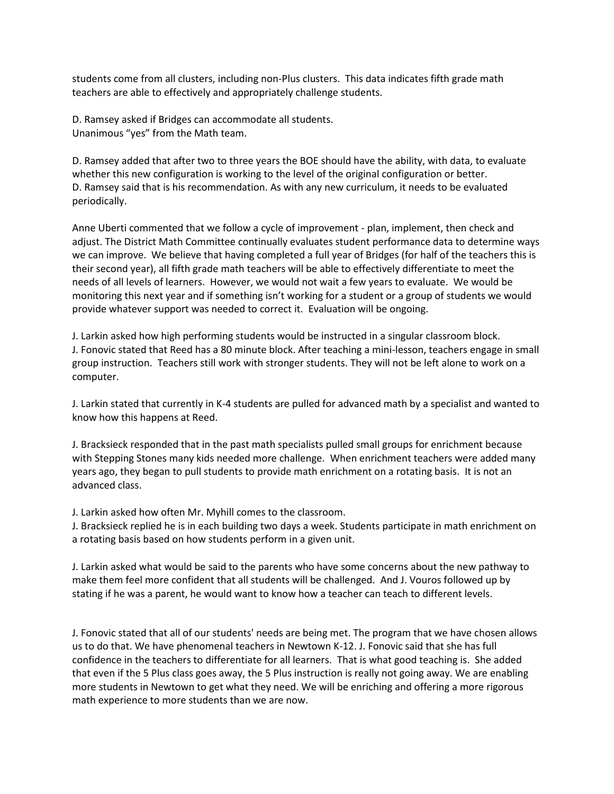students come from all clusters, including non-Plus clusters. This data indicates fifth grade math teachers are able to effectively and appropriately challenge students.

D. Ramsey asked if Bridges can accommodate all students. Unanimous "yes" from the Math team.

D. Ramsey added that after two to three years the BOE should have the ability, with data, to evaluate whether this new configuration is working to the level of the original configuration or better. D. Ramsey said that is his recommendation. As with any new curriculum, it needs to be evaluated periodically.

Anne Uberti commented that we follow a cycle of improvement - plan, implement, then check and adjust. The District Math Committee continually evaluates student performance data to determine ways we can improve. We believe that having completed a full year of Bridges (for half of the teachers this is their second year), all fifth grade math teachers will be able to effectively differentiate to meet the needs of all levels of learners. However, we would not wait a few years to evaluate. We would be monitoring this next year and if something isn't working for a student or a group of students we would provide whatever support was needed to correct it. Evaluation will be ongoing.

J. Larkin asked how high performing students would be instructed in a singular classroom block. J. Fonovic stated that Reed has a 80 minute block. After teaching a mini-lesson, teachers engage in small group instruction. Teachers still work with stronger students. They will not be left alone to work on a computer.

J. Larkin stated that currently in K-4 students are pulled for advanced math by a specialist and wanted to know how this happens at Reed.

J. Bracksieck responded that in the past math specialists pulled small groups for enrichment because with Stepping Stones many kids needed more challenge. When enrichment teachers were added many years ago, they began to pull students to provide math enrichment on a rotating basis. It is not an advanced class.

J. Larkin asked how often Mr. Myhill comes to the classroom.

J. Bracksieck replied he is in each building two days a week. Students participate in math enrichment on a rotating basis based on how students perform in a given unit.

J. Larkin asked what would be said to the parents who have some concerns about the new pathway to make them feel more confident that all students will be challenged. And J. Vouros followed up by stating if he was a parent, he would want to know how a teacher can teach to different levels.

J. Fonovic stated that all of our students' needs are being met. The program that we have chosen allows us to do that. We have phenomenal teachers in Newtown K-12. J. Fonovic said that she has full confidence in the teachers to differentiate for all learners. That is what good teaching is. She added that even if the 5 Plus class goes away, the 5 Plus instruction is really not going away. We are enabling more students in Newtown to get what they need. We will be enriching and offering a more rigorous math experience to more students than we are now.